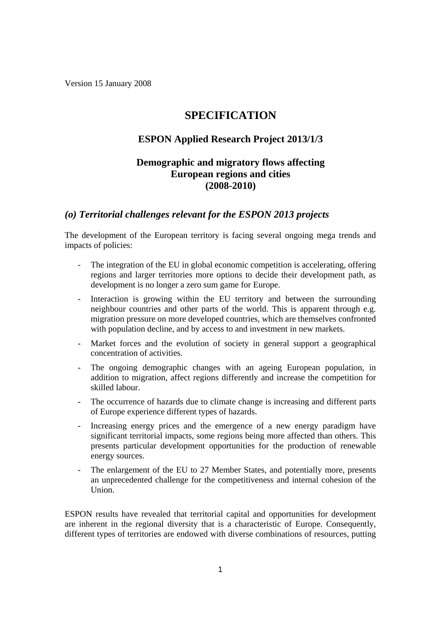Version 15 January 2008

# **SPECIFICATION**

## **ESPON Applied Research Project 2013/1/3**

## **Demographic and migratory flows affecting European regions and cities (2008-2010)**

### *(o) Territorial challenges relevant for the ESPON 2013 projects*

The development of the European territory is facing several ongoing mega trends and impacts of policies:

- The integration of the EU in global economic competition is accelerating, offering regions and larger territories more options to decide their development path, as development is no longer a zero sum game for Europe.
- Interaction is growing within the EU territory and between the surrounding neighbour countries and other parts of the world. This is apparent through e.g. migration pressure on more developed countries, which are themselves confronted with population decline, and by access to and investment in new markets.
- Market forces and the evolution of society in general support a geographical concentration of activities.
- The ongoing demographic changes with an ageing European population, in addition to migration, affect regions differently and increase the competition for skilled labour.
- The occurrence of hazards due to climate change is increasing and different parts of Europe experience different types of hazards.
- Increasing energy prices and the emergence of a new energy paradigm have significant territorial impacts, some regions being more affected than others. This presents particular development opportunities for the production of renewable energy sources.
- The enlargement of the EU to 27 Member States, and potentially more, presents an unprecedented challenge for the competitiveness and internal cohesion of the Union.

ESPON results have revealed that territorial capital and opportunities for development are inherent in the regional diversity that is a characteristic of Europe. Consequently, different types of territories are endowed with diverse combinations of resources, putting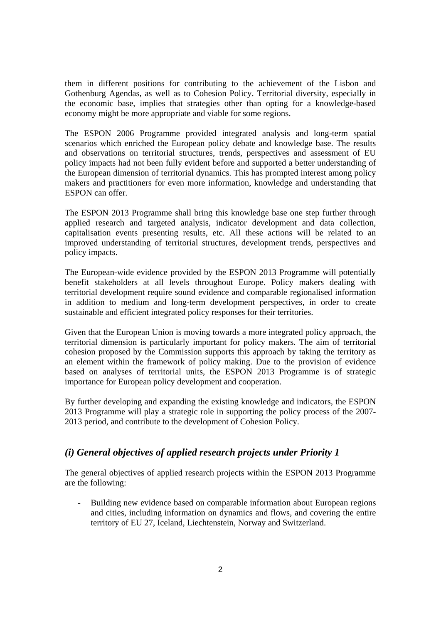them in different positions for contributing to the achievement of the Lisbon and Gothenburg Agendas, as well as to Cohesion Policy. Territorial diversity, especially in the economic base, implies that strategies other than opting for a knowledge-based economy might be more appropriate and viable for some regions.

The ESPON 2006 Programme provided integrated analysis and long-term spatial scenarios which enriched the European policy debate and knowledge base. The results and observations on territorial structures, trends, perspectives and assessment of EU policy impacts had not been fully evident before and supported a better understanding of the European dimension of territorial dynamics. This has prompted interest among policy makers and practitioners for even more information, knowledge and understanding that ESPON can offer.

The ESPON 2013 Programme shall bring this knowledge base one step further through applied research and targeted analysis, indicator development and data collection, capitalisation events presenting results, etc. All these actions will be related to an improved understanding of territorial structures, development trends, perspectives and policy impacts.

The European-wide evidence provided by the ESPON 2013 Programme will potentially benefit stakeholders at all levels throughout Europe. Policy makers dealing with territorial development require sound evidence and comparable regionalised information in addition to medium and long-term development perspectives, in order to create sustainable and efficient integrated policy responses for their territories.

Given that the European Union is moving towards a more integrated policy approach, the territorial dimension is particularly important for policy makers. The aim of territorial cohesion proposed by the Commission supports this approach by taking the territory as an element within the framework of policy making. Due to the provision of evidence based on analyses of territorial units, the ESPON 2013 Programme is of strategic importance for European policy development and cooperation.

By further developing and expanding the existing knowledge and indicators, the ESPON 2013 Programme will play a strategic role in supporting the policy process of the 2007- 2013 period, and contribute to the development of Cohesion Policy.

# *(i) General objectives of applied research projects under Priority 1*

The general objectives of applied research projects within the ESPON 2013 Programme are the following:

- Building new evidence based on comparable information about European regions and cities, including information on dynamics and flows, and covering the entire territory of EU 27, Iceland, Liechtenstein, Norway and Switzerland.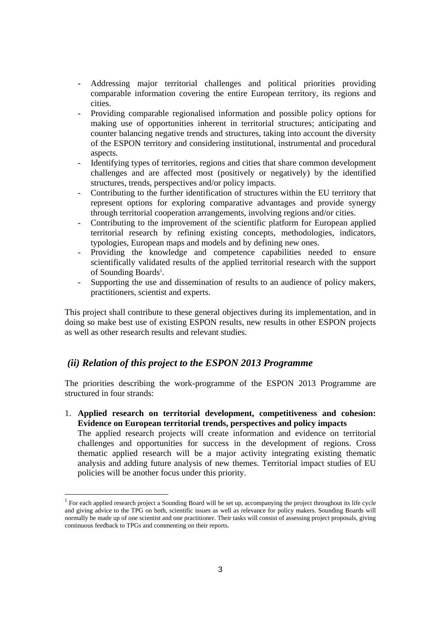- Addressing major territorial challenges and political priorities providing comparable information covering the entire European territory, its regions and cities.
- Providing comparable regionalised information and possible policy options for making use of opportunities inherent in territorial structures; anticipating and counter balancing negative trends and structures, taking into account the diversity of the ESPON territory and considering institutional, instrumental and procedural aspects.
- Identifying types of territories, regions and cities that share common development challenges and are affected most (positively or negatively) by the identified structures, trends, perspectives and/or policy impacts.
- Contributing to the further identification of structures within the EU territory that represent options for exploring comparative advantages and provide synergy through territorial cooperation arrangements, involving regions and/or cities.
- Contributing to the improvement of the scientific platform for European applied territorial research by refining existing concepts, methodologies, indicators, typologies, European maps and models and by defining new ones.
- Providing the knowledge and competence capabilities needed to ensure scientifically validated results of the applied territorial research with the support of Sounding Boards<sup>1</sup>.
- Supporting the use and dissemination of results to an audience of policy makers, practitioners, scientist and experts.

This project shall contribute to these general objectives during its implementation, and in doing so make best use of existing ESPON results, new results in other ESPON projects as well as other research results and relevant studies.

# *(ii) Relation of this project to the ESPON 2013 Programme*

policies will be another focus under this priority.

The priorities describing the work-programme of the ESPON 2013 Programme are structured in four strands:

1. **Applied research on territorial development, competitiveness and cohesion: Evidence on European territorial trends, perspectives and policy impacts** The applied research projects will create information and evidence on territorial challenges and opportunities for success in the development of regions. Cross thematic applied research will be a major activity integrating existing thematic analysis and adding future analysis of new themes. Territorial impact studies of EU

 $<sup>1</sup>$  For each applied research project a Sounding Board will be set up, accompanying the project throughout its life cycle</sup> and giving advice to the TPG on both, scientific issues as well as relevance for policy makers. Sounding Boards will normally be made up of one scientist and one practitioner. Their tasks will consist of assessing project proposals, giving continuous feedback to TPGs and commenting on their reports.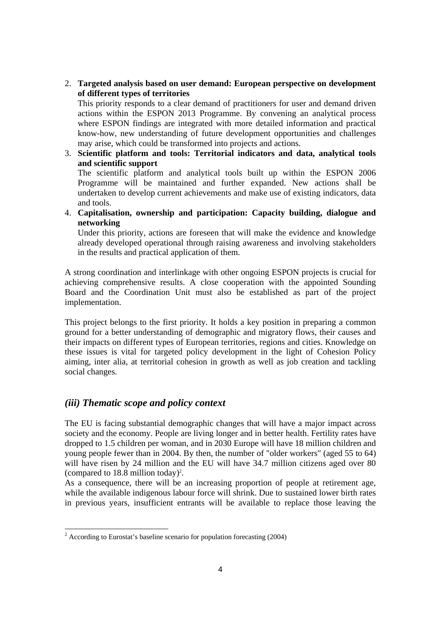### 2. **Targeted analysis based on user demand: European perspective on development of different types of territories**

This priority responds to a clear demand of practitioners for user and demand driven actions within the ESPON 2013 Programme. By convening an analytical process where ESPON findings are integrated with more detailed information and practical know-how, new understanding of future development opportunities and challenges may arise, which could be transformed into projects and actions.

- 3. **Scientific platform and tools: Territorial indicators and data, analytical tools and scientific support**  The scientific platform and analytical tools built up within the ESPON 2006 Programme will be maintained and further expanded. New actions shall be undertaken to develop current achievements and make use of existing indicators, data and tools.
- 4. **Capitalisation, ownership and participation: Capacity building, dialogue and networking**

Under this priority, actions are foreseen that will make the evidence and knowledge already developed operational through raising awareness and involving stakeholders in the results and practical application of them.

A strong coordination and interlinkage with other ongoing ESPON projects is crucial for achieving comprehensive results. A close cooperation with the appointed Sounding Board and the Coordination Unit must also be established as part of the project implementation.

This project belongs to the first priority. It holds a key position in preparing a common ground for a better understanding of demographic and migratory flows, their causes and their impacts on different types of European territories, regions and cities. Knowledge on these issues is vital for targeted policy development in the light of Cohesion Policy aiming, inter alia, at territorial cohesion in growth as well as job creation and tackling social changes.

### *(iii) Thematic scope and policy context*

The EU is facing substantial demographic changes that will have a major impact across society and the economy. People are living longer and in better health. Fertility rates have dropped to 1.5 children per woman, and in 2030 Europe will have 18 million children and young people fewer than in 2004. By then, the number of "older workers" (aged 55 to 64) will have risen by 24 million and the EU will have 34.7 million citizens aged over 80 (compared to  $18.8$  million today)<sup>2</sup>.

As a consequence, there will be an increasing proportion of people at retirement age, while the available indigenous labour force will shrink. Due to sustained lower birth rates in previous years, insufficient entrants will be available to replace those leaving the

 2 According to Eurostat's baseline scenario for population forecasting (2004)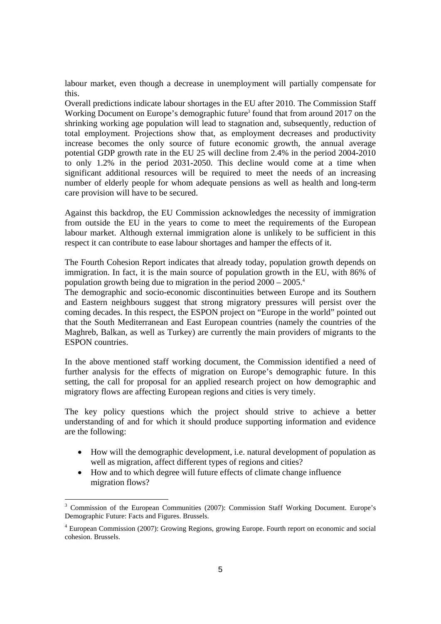labour market, even though a decrease in unemployment will partially compensate for this.

Overall predictions indicate labour shortages in the EU after 2010. The Commission Staff Working Document on Europe's demographic future<sup>3</sup> found that from around 2017 on the shrinking working age population will lead to stagnation and, subsequently, reduction of total employment. Projections show that, as employment decreases and productivity increase becomes the only source of future economic growth, the annual average potential GDP growth rate in the EU 25 will decline from 2.4% in the period 2004-2010 to only 1.2% in the period 2031-2050. This decline would come at a time when significant additional resources will be required to meet the needs of an increasing number of elderly people for whom adequate pensions as well as health and long-term care provision will have to be secured.

Against this backdrop, the EU Commission acknowledges the necessity of immigration from outside the EU in the years to come to meet the requirements of the European labour market. Although external immigration alone is unlikely to be sufficient in this respect it can contribute to ease labour shortages and hamper the effects of it.

The Fourth Cohesion Report indicates that already today, population growth depends on immigration. In fact, it is the main source of population growth in the EU, with 86% of population growth being due to migration in the period  $2000 - 2005$ <sup>4</sup>

The demographic and socio-economic discontinuities between Europe and its Southern and Eastern neighbours suggest that strong migratory pressures will persist over the coming decades. In this respect, the ESPON project on "Europe in the world" pointed out that the South Mediterranean and East European countries (namely the countries of the Maghreb, Balkan, as well as Turkey) are currently the main providers of migrants to the ESPON countries.

In the above mentioned staff working document, the Commission identified a need of further analysis for the effects of migration on Europe's demographic future. In this setting, the call for proposal for an applied research project on how demographic and migratory flows are affecting European regions and cities is very timely.

The key policy questions which the project should strive to achieve a better understanding of and for which it should produce supporting information and evidence are the following:

- How will the demographic development, i.e. natural development of population as well as migration, affect different types of regions and cities?
- How and to which degree will future effects of climate change influence migration flows?

<sup>&</sup>lt;sup>3</sup> Commission of the European Communities (2007): Commission Staff Working Document. Europe's Demographic Future: Facts and Figures. Brussels.

<sup>&</sup>lt;sup>4</sup> European Commission (2007): Growing Regions, growing Europe. Fourth report on economic and social cohesion. Brussels.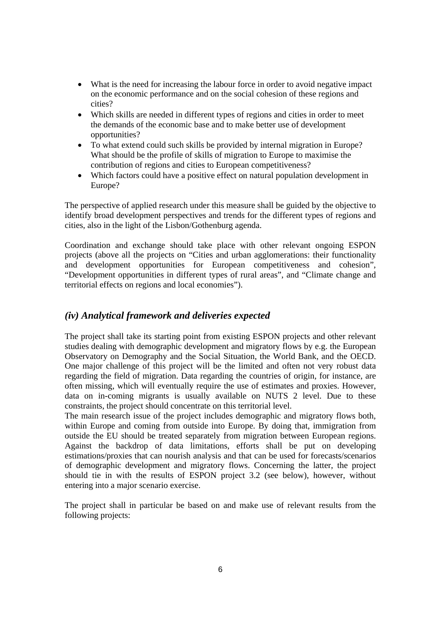- What is the need for increasing the labour force in order to avoid negative impact on the economic performance and on the social cohesion of these regions and cities?
- Which skills are needed in different types of regions and cities in order to meet the demands of the economic base and to make better use of development opportunities?
- To what extend could such skills be provided by internal migration in Europe? What should be the profile of skills of migration to Europe to maximise the contribution of regions and cities to European competitiveness?
- Which factors could have a positive effect on natural population development in Europe?

The perspective of applied research under this measure shall be guided by the objective to identify broad development perspectives and trends for the different types of regions and cities, also in the light of the Lisbon/Gothenburg agenda.

Coordination and exchange should take place with other relevant ongoing ESPON projects (above all the projects on "Cities and urban agglomerations: their functionality and development opportunities for European competitiveness and cohesion", "Development opportunities in different types of rural areas", and "Climate change and territorial effects on regions and local economies").

## *(iv) Analytical framework and deliveries expected*

The project shall take its starting point from existing ESPON projects and other relevant studies dealing with demographic development and migratory flows by e.g. the European Observatory on Demography and the Social Situation, the World Bank, and the OECD. One major challenge of this project will be the limited and often not very robust data regarding the field of migration. Data regarding the countries of origin, for instance, are often missing, which will eventually require the use of estimates and proxies. However, data on in-coming migrants is usually available on NUTS 2 level. Due to these constraints, the project should concentrate on this territorial level.

The main research issue of the project includes demographic and migratory flows both, within Europe and coming from outside into Europe. By doing that, immigration from outside the EU should be treated separately from migration between European regions. Against the backdrop of data limitations, efforts shall be put on developing estimations/proxies that can nourish analysis and that can be used for forecasts/scenarios of demographic development and migratory flows. Concerning the latter, the project should tie in with the results of ESPON project 3.2 (see below), however, without entering into a major scenario exercise.

The project shall in particular be based on and make use of relevant results from the following projects: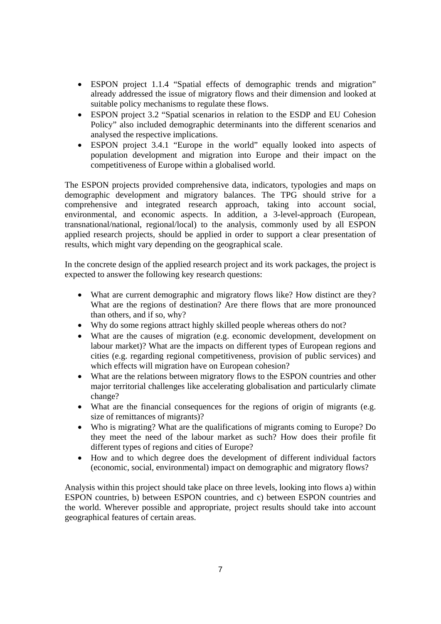- ESPON project 1.1.4 "Spatial effects of demographic trends and migration" already addressed the issue of migratory flows and their dimension and looked at suitable policy mechanisms to regulate these flows.
- ESPON project 3.2 "Spatial scenarios in relation to the ESDP and EU Cohesion Policy" also included demographic determinants into the different scenarios and analysed the respective implications.
- ESPON project 3.4.1 "Europe in the world" equally looked into aspects of population development and migration into Europe and their impact on the competitiveness of Europe within a globalised world.

The ESPON projects provided comprehensive data, indicators, typologies and maps on demographic development and migratory balances. The TPG should strive for a comprehensive and integrated research approach, taking into account social, environmental, and economic aspects. In addition, a 3-level-approach (European, transnational/national, regional/local) to the analysis, commonly used by all ESPON applied research projects, should be applied in order to support a clear presentation of results, which might vary depending on the geographical scale.

In the concrete design of the applied research project and its work packages, the project is expected to answer the following key research questions:

- What are current demographic and migratory flows like? How distinct are they? What are the regions of destination? Are there flows that are more pronounced than others, and if so, why?
- Why do some regions attract highly skilled people whereas others do not?
- What are the causes of migration (e.g. economic development, development on labour market)? What are the impacts on different types of European regions and cities (e.g. regarding regional competitiveness, provision of public services) and which effects will migration have on European cohesion?
- What are the relations between migratory flows to the ESPON countries and other major territorial challenges like accelerating globalisation and particularly climate change?
- What are the financial consequences for the regions of origin of migrants (e.g. size of remittances of migrants)?
- Who is migrating? What are the qualifications of migrants coming to Europe? Do they meet the need of the labour market as such? How does their profile fit different types of regions and cities of Europe?
- How and to which degree does the development of different individual factors (economic, social, environmental) impact on demographic and migratory flows?

Analysis within this project should take place on three levels, looking into flows a) within ESPON countries, b) between ESPON countries, and c) between ESPON countries and the world. Wherever possible and appropriate, project results should take into account geographical features of certain areas.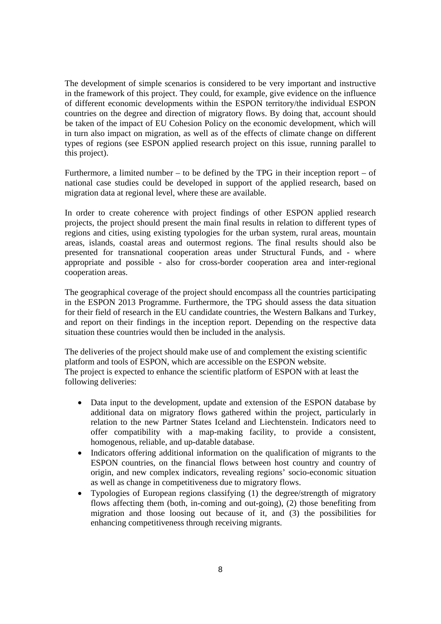The development of simple scenarios is considered to be very important and instructive in the framework of this project. They could, for example, give evidence on the influence of different economic developments within the ESPON territory/the individual ESPON countries on the degree and direction of migratory flows. By doing that, account should be taken of the impact of EU Cohesion Policy on the economic development, which will in turn also impact on migration, as well as of the effects of climate change on different types of regions (see ESPON applied research project on this issue, running parallel to this project).

Furthermore, a limited number – to be defined by the TPG in their inception report – of national case studies could be developed in support of the applied research, based on migration data at regional level, where these are available.

In order to create coherence with project findings of other ESPON applied research projects, the project should present the main final results in relation to different types of regions and cities, using existing typologies for the urban system, rural areas, mountain areas, islands, coastal areas and outermost regions. The final results should also be presented for transnational cooperation areas under Structural Funds, and - where appropriate and possible - also for cross-border cooperation area and inter-regional cooperation areas.

The geographical coverage of the project should encompass all the countries participating in the ESPON 2013 Programme. Furthermore, the TPG should assess the data situation for their field of research in the EU candidate countries, the Western Balkans and Turkey, and report on their findings in the inception report. Depending on the respective data situation these countries would then be included in the analysis.

The deliveries of the project should make use of and complement the existing scientific platform and tools of ESPON, which are accessible on the ESPON website. The project is expected to enhance the scientific platform of ESPON with at least the following deliveries:

- Data input to the development, update and extension of the ESPON database by additional data on migratory flows gathered within the project, particularly in relation to the new Partner States Iceland and Liechtenstein. Indicators need to offer compatibility with a map-making facility, to provide a consistent, homogenous, reliable, and up-datable database.
- Indicators offering additional information on the qualification of migrants to the ESPON countries, on the financial flows between host country and country of origin, and new complex indicators, revealing regions' socio-economic situation as well as change in competitiveness due to migratory flows.
- Typologies of European regions classifying (1) the degree/strength of migratory flows affecting them (both, in-coming and out-going), (2) those benefiting from migration and those loosing out because of it, and (3) the possibilities for enhancing competitiveness through receiving migrants.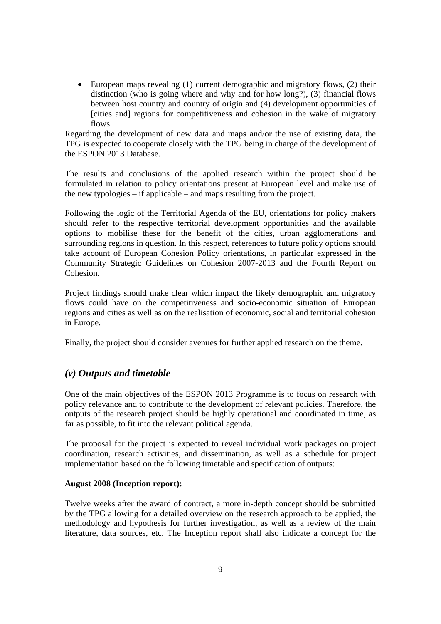• European maps revealing (1) current demographic and migratory flows, (2) their distinction (who is going where and why and for how long?), (3) financial flows between host country and country of origin and (4) development opportunities of [cities and] regions for competitiveness and cohesion in the wake of migratory flows.

Regarding the development of new data and maps and/or the use of existing data, the TPG is expected to cooperate closely with the TPG being in charge of the development of the ESPON 2013 Database.

The results and conclusions of the applied research within the project should be formulated in relation to policy orientations present at European level and make use of the new typologies – if applicable – and maps resulting from the project.

Following the logic of the Territorial Agenda of the EU, orientations for policy makers should refer to the respective territorial development opportunities and the available options to mobilise these for the benefit of the cities, urban agglomerations and surrounding regions in question. In this respect, references to future policy options should take account of European Cohesion Policy orientations, in particular expressed in the Community Strategic Guidelines on Cohesion 2007-2013 and the Fourth Report on Cohesion.

Project findings should make clear which impact the likely demographic and migratory flows could have on the competitiveness and socio-economic situation of European regions and cities as well as on the realisation of economic, social and territorial cohesion in Europe.

Finally, the project should consider avenues for further applied research on the theme.

### *(v) Outputs and timetable*

One of the main objectives of the ESPON 2013 Programme is to focus on research with policy relevance and to contribute to the development of relevant policies. Therefore, the outputs of the research project should be highly operational and coordinated in time, as far as possible, to fit into the relevant political agenda.

The proposal for the project is expected to reveal individual work packages on project coordination, research activities, and dissemination, as well as a schedule for project implementation based on the following timetable and specification of outputs:

#### **August 2008 (Inception report):**

Twelve weeks after the award of contract, a more in-depth concept should be submitted by the TPG allowing for a detailed overview on the research approach to be applied, the methodology and hypothesis for further investigation, as well as a review of the main literature, data sources, etc. The Inception report shall also indicate a concept for the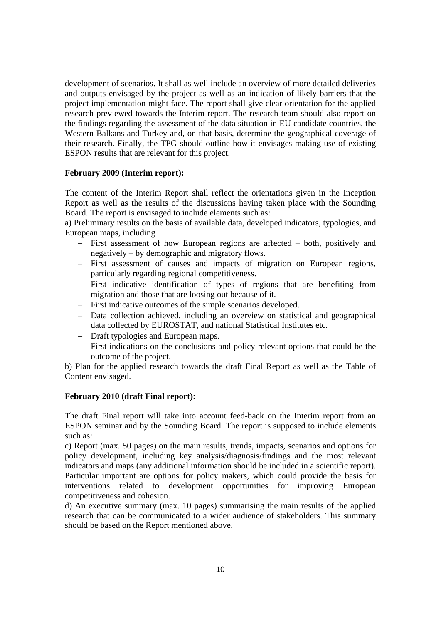development of scenarios. It shall as well include an overview of more detailed deliveries and outputs envisaged by the project as well as an indication of likely barriers that the project implementation might face. The report shall give clear orientation for the applied research previewed towards the Interim report. The research team should also report on the findings regarding the assessment of the data situation in EU candidate countries, the Western Balkans and Turkey and, on that basis, determine the geographical coverage of their research. Finally, the TPG should outline how it envisages making use of existing ESPON results that are relevant for this project.

#### **February 2009 (Interim report):**

The content of the Interim Report shall reflect the orientations given in the Inception Report as well as the results of the discussions having taken place with the Sounding Board. The report is envisaged to include elements such as:

a) Preliminary results on the basis of available data, developed indicators, typologies, and European maps, including

- − First assessment of how European regions are affected both, positively and negatively – by demographic and migratory flows.
- − First assessment of causes and impacts of migration on European regions, particularly regarding regional competitiveness.
- − First indicative identification of types of regions that are benefiting from migration and those that are loosing out because of it.
- − First indicative outcomes of the simple scenarios developed.
- − Data collection achieved, including an overview on statistical and geographical data collected by EUROSTAT, and national Statistical Institutes etc.
- − Draft typologies and European maps.
- − First indications on the conclusions and policy relevant options that could be the outcome of the project.

b) Plan for the applied research towards the draft Final Report as well as the Table of Content envisaged.

#### **February 2010 (draft Final report):**

The draft Final report will take into account feed-back on the Interim report from an ESPON seminar and by the Sounding Board. The report is supposed to include elements such as:

c) Report (max. 50 pages) on the main results, trends, impacts, scenarios and options for policy development, including key analysis/diagnosis/findings and the most relevant indicators and maps (any additional information should be included in a scientific report). Particular important are options for policy makers, which could provide the basis for interventions related to development opportunities for improving European competitiveness and cohesion.

d) An executive summary (max. 10 pages) summarising the main results of the applied research that can be communicated to a wider audience of stakeholders. This summary should be based on the Report mentioned above.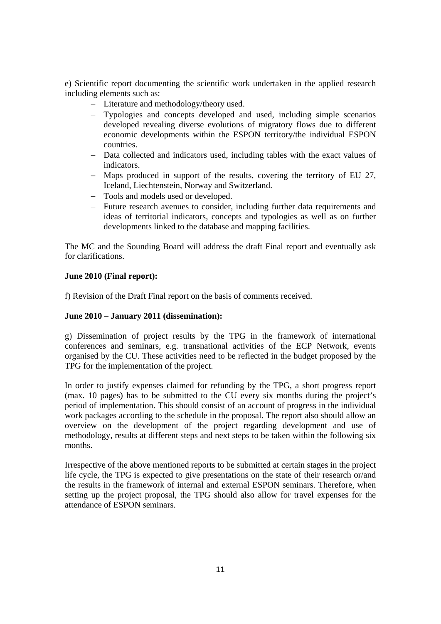e) Scientific report documenting the scientific work undertaken in the applied research including elements such as:

- − Literature and methodology/theory used.
- − Typologies and concepts developed and used, including simple scenarios developed revealing diverse evolutions of migratory flows due to different economic developments within the ESPON territory/the individual ESPON countries.
- − Data collected and indicators used, including tables with the exact values of indicators.
- − Maps produced in support of the results, covering the territory of EU 27, Iceland, Liechtenstein, Norway and Switzerland.
- − Tools and models used or developed.
- − Future research avenues to consider, including further data requirements and ideas of territorial indicators, concepts and typologies as well as on further developments linked to the database and mapping facilities.

The MC and the Sounding Board will address the draft Final report and eventually ask for clarifications.

#### **June 2010 (Final report):**

f) Revision of the Draft Final report on the basis of comments received.

### **June 2010 – January 2011 (dissemination):**

g) Dissemination of project results by the TPG in the framework of international conferences and seminars, e.g. transnational activities of the ECP Network, events organised by the CU. These activities need to be reflected in the budget proposed by the TPG for the implementation of the project.

In order to justify expenses claimed for refunding by the TPG, a short progress report (max. 10 pages) has to be submitted to the CU every six months during the project's period of implementation. This should consist of an account of progress in the individual work packages according to the schedule in the proposal. The report also should allow an overview on the development of the project regarding development and use of methodology, results at different steps and next steps to be taken within the following six months.

Irrespective of the above mentioned reports to be submitted at certain stages in the project life cycle, the TPG is expected to give presentations on the state of their research or/and the results in the framework of internal and external ESPON seminars. Therefore, when setting up the project proposal, the TPG should also allow for travel expenses for the attendance of ESPON seminars.